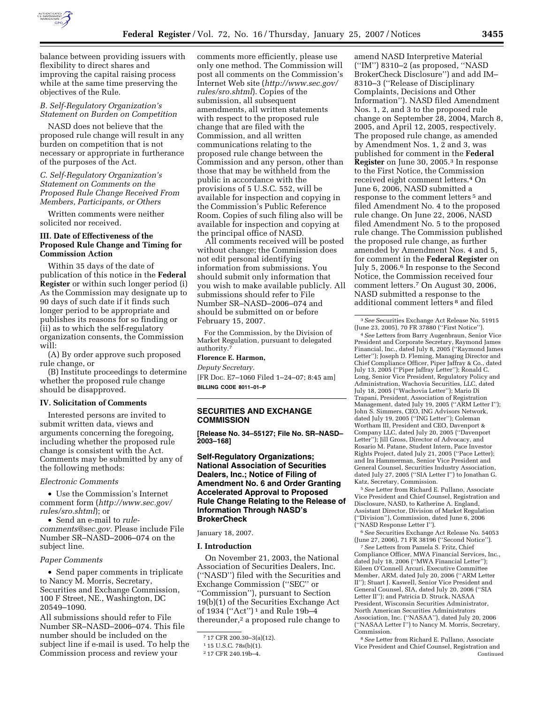

balance between providing issuers with flexibility to direct shares and improving the capital raising process while at the same time preserving the objectives of the Rule.

### *B. Self-Regulatory Organization's Statement on Burden on Competition*

NASD does not believe that the proposed rule change will result in any burden on competition that is not necessary or appropriate in furtherance of the purposes of the Act.

### *C. Self-Regulatory Organization's Statement on Comments on the Proposed Rule Change Received From Members, Participants, or Others*

Written comments were neither solicited nor received.

# **III. Date of Effectiveness of the Proposed Rule Change and Timing for Commission Action**

Within 35 days of the date of publication of this notice in the **Federal Register** or within such longer period (i) As the Commission may designate up to 90 days of such date if it finds such longer period to be appropriate and publishes its reasons for so finding or (ii) as to which the self-regulatory organization consents, the Commission will:

(A) By order approve such proposed rule change, or

(B) Institute proceedings to determine whether the proposed rule change should be disapproved.

# **IV. Solicitation of Comments**

Interested persons are invited to submit written data, views and arguments concerning the foregoing, including whether the proposed rule change is consistent with the Act. Comments may be submitted by any of the following methods:

#### *Electronic Comments*

• Use the Commission's Internet comment form (*http://www.sec.gov/ rules/sro.shtml*); or

• Send an e-mail to *rulecomments@sec.gov.* Please include File Number SR–NASD–2006–074 on the subject line.

#### *Paper Comments*

• Send paper comments in triplicate to Nancy M. Morris, Secretary, Securities and Exchange Commission, 100 F Street, NE., Washington, DC 20549–1090.

All submissions should refer to File Number SR–NASD–2006–074. This file number should be included on the subject line if e-mail is used. To help the Commission process and review your

comments more efficiently, please use only one method. The Commission will post all comments on the Commission's Internet Web site (*http://www.sec.gov/ rules/sro.shtml*). Copies of the submission, all subsequent amendments, all written statements with respect to the proposed rule change that are filed with the Commission, and all written communications relating to the proposed rule change between the Commission and any person, other than those that may be withheld from the public in accordance with the provisions of 5 U.S.C. 552, will be available for inspection and copying in the Commission's Public Reference Room. Copies of such filing also will be available for inspection and copying at the principal office of NASD.

All comments received will be posted without change; the Commission does not edit personal identifying information from submissions. You should submit only information that you wish to make available publicly. All submissions should refer to File Number SR–NASD–2006–074 and should be submitted on or before February 15, 2007.

For the Commission, by the Division of Market Regulation, pursuant to delegated authority.<sup>7</sup>

#### **Florence E. Harmon,**

*Deputy Secretary.*  [FR Doc. E7–1060 Filed 1–24–07; 8:45 am] **BILLING CODE 8011–01–P** 

# **SECURITIES AND EXCHANGE COMMISSION**

**[Release No. 34–55127; File No. SR–NASD– 2003–168]** 

# **Self-Regulatory Organizations; National Association of Securities Dealers, Inc.; Notice of Filing of Amendment No. 6 and Order Granting Accelerated Approval to Proposed Rule Change Relating to the Release of Information Through NASD's BrokerCheck**

#### January 18, 2007.

# **I. Introduction**

On November 21, 2003, the National Association of Securities Dealers, Inc. (''NASD'') filed with the Securities and Exchange Commission (''SEC'' or ''Commission''), pursuant to Section 19(b)(1) of the Securities Exchange Act of 1934 (''Act'') 1 and Rule 19b–4 thereunder,<sup>2</sup> a proposed rule change to

amend NASD Interpretive Material (''IM'') 8310–2 (as proposed, ''NASD BrokerCheck Disclosure'') and add IM– 8310–3 (''Release of Disciplinary Complaints, Decisions and Other Information''). NASD filed Amendment Nos. 1, 2, and 3 to the proposed rule change on September 28, 2004, March 8, 2005, and April 12, 2005, respectively. The proposed rule change, as amended by Amendment Nos. 1, 2 and 3, was published for comment in the **Federal Register** on June 30, 2005.3 In response to the First Notice, the Commission received eight comment letters.4 On June 6, 2006, NASD submitted a response to the comment letters 5 and filed Amendment No. 4 to the proposed rule change. On June 22, 2006, NASD filed Amendment No. 5 to the proposed rule change. The Commission published the proposed rule change, as further amended by Amendment Nos. 4 and 5, for comment in the **Federal Register** on July 5, 2006.<sup>6</sup> In response to the Second Notice, the Commission received four comment letters.7 On August 30, 2006, NASD submitted a response to the additional comment letters 8 and filed

<sup>4</sup> See Letters from Barry Augenbraun, Senior Vice President and Corporate Secretary, Raymond James Financial, Inc., dated July 8, 2005 (''Raymond James Letter''); Joseph D. Fleming, Managing Director and Chief Compliance Officer, Piper Jaffray & Co., dated July 13, 2005 (''Piper Jaffray Letter''); Ronald C. Long, Senior Vice President, Regulatory Policy and Administration, Wachovia Securities, LLC, dated July 18, 2005 (''Wachovia Letter''); Mario Di Trapani, President, Association of Registration Management, dated July 19, 2005 (''ARM Letter I''); John S. Simmers, CEO, ING Advisors Network, dated July 19, 2005 (''ING Letter''); Coleman Wortham III, President and CEO, Davenport & Company LLC, dated July 20, 2005 (''Davenport Letter''); Jill Gross, Director of Advocacy, and Rosario M. Patane, Student Intern, Pace Investor Rights Project, dated July 21, 2005 (''Pace Letter); and Ira Hammerman, Senior Vice President and General Counsel, Securities Industry Association, dated July 27, 2005 (''SIA Letter I'') to Jonathan G. Katz, Secretary, Commission.

5*See* Letter from Richard E. Pullano, Associate Vice President and Chief Counsel, Registration and Disclosure, NASD, to Katherine A. England, Assistant Director, Division of Market Regulation (''Division''), Commission, dated June 6, 2006 (''NASD Response Letter I'').

6*See* Securities Exchange Act Release No. 54053 (June 27, 2006), 71 FR 38196 (''Second Notice'').

7*See* Letters from Pamela S. Fritz, Chief Compliance Officer, MWA Financial Services, Inc., dated July 18, 2006 (''MWA Financial Letter''); Eileen O'Connell Arcuri, Executive Committee Member, ARM, dated July 20, 2006 (''ARM Letter II''); Stuart J. Kaswell, Senior Vice President and General Counsel, SIA, dated July 20, 2006 (''SIA Letter II''); and Patricia D. Struck, NASAA President, Wisconsin Securities Administrator, North American Securities Administrators Association, Inc. (''NASAA''), dated July 20, 2006 (''NASAA Letter I'') to Nancy M. Morris, Secretary, Commission.

8*See* Letter from Richard E. Pullano, Associate Vice President and Chief Counsel, Registration and Continued

<sup>7</sup> 17 CFR 200.30–3(a)(12).

<sup>1</sup> 15 U.S.C. 78s(b)(1).

<sup>2</sup> 17 CFR 240.19b–4.

<sup>3</sup>*See* Securities Exchange Act Release No. 51915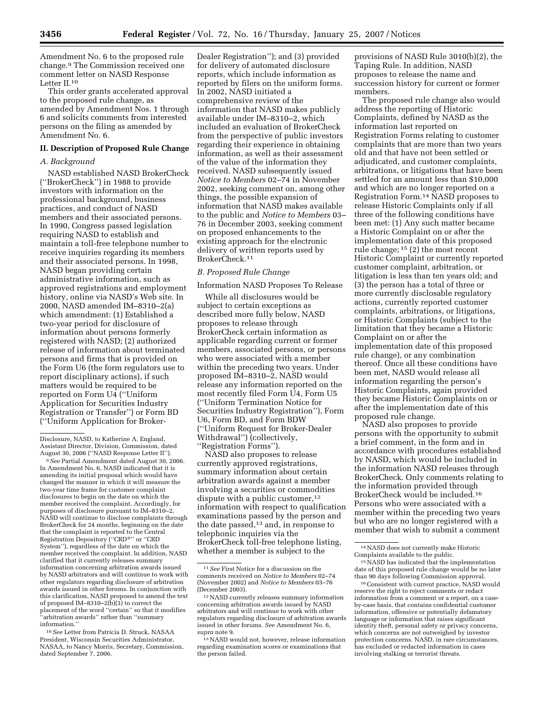Amendment No. 6 to the proposed rule change.9 The Commission received one comment letter on NASD Response Letter II.10

This order grants accelerated approval to the proposed rule change, as amended by Amendment Nos. 1 through 6 and solicits comments from interested persons on the filing as amended by Amendment No. 6.

### **II. Description of Proposed Rule Change**

## *A. Background*

NASD established NASD BrokerCheck (''BrokerCheck'') in 1988 to provide investors with information on the professional background, business practices, and conduct of NASD members and their associated persons. In 1990, Congress passed legislation requiring NASD to establish and maintain a toll-free telephone number to receive inquiries regarding its members and their associated persons. In 1998, NASD began providing certain administrative information, such as approved registrations and employment history, online via NASD's Web site. In 2000, NASD amended IM–8310–2(a) which amendment: (1) Established a two-year period for disclosure of information about persons formerly registered with NASD; (2) authorized release of information about terminated persons and firms that is provided on the Form U6 (the form regulators use to report disciplinary actions), if such matters would be required to be reported on Form U4 (''Uniform Application for Securities Industry Registration or Transfer'') or Form BD (''Uniform Application for Broker-

10*See* Letter from Patricia D. Struck, NASAA President, Wisconsin Securities Administrator, NASAA, to Nancy Morris, Secretary, Commission, dated September 7, 2006.

Dealer Registration''); and (3) provided for delivery of automated disclosure reports, which include information as reported by filers on the uniform forms. In 2002, NASD initiated a comprehensive review of the information that NASD makes publicly available under IM–8310–2, which included an evaluation of BrokerCheck from the perspective of public investors regarding their experience in obtaining information, as well as their assessment of the value of the information they received. NASD subsequently issued *Notice to Members* 02–74 in November 2002, seeking comment on, among other things, the possible expansion of information that NASD makes available to the public and *Notice to Members* 03– 76 in December 2003, seeking comment on proposed enhancements to the existing approach for the electronic delivery of written reports used by BrokerCheck.11

# *B. Proposed Rule Change*

#### Information NASD Proposes To Release

While all disclosures would be subject to certain exceptions as described more fully below, NASD proposes to release through BrokerCheck certain information as applicable regarding current or former members, associated persons, or persons who were associated with a member within the preceding two years. Under proposed IM–8310–2, NASD would release any information reported on the most recently filed Form U4, Form U5 (''Uniform Termination Notice for Securities Industry Registration''), Form U6, Form BD, and Form BDW (''Uniform Request for Broker-Dealer Withdrawal'') (collectively, ''Registration Forms'').

NASD also proposes to release currently approved registrations, summary information about certain arbitration awards against a member involving a securities or commodities dispute with a public customer,<sup>12</sup> information with respect to qualification examinations passed by the person and the date passed, $13$  and, in response to telephonic inquiries via the BrokerCheck toll-free telephone listing, whether a member is subject to the

provisions of NASD Rule 3010(b)(2), the Taping Rule. In addition, NASD proposes to release the name and succession history for current or former members.

The proposed rule change also would address the reporting of Historic Complaints, defined by NASD as the information last reported on Registration Forms relating to customer complaints that are more than two years old and that have not been settled or adjudicated, and customer complaints, arbitrations, or litigations that have been settled for an amount less than \$10,000 and which are no longer reported on a Registration Form.14 NASD proposes to release Historic Complaints only if all three of the following conditions have been met: (1) Any such matter became a Historic Complaint on or after the implementation date of this proposed rule change; 15 (2) the most recent Historic Complaint or currently reported customer complaint, arbitration, or litigation is less than ten years old; and (3) the person has a total of three or more currently disclosable regulatory actions, currently reported customer complaints, arbitrations, or litigations, or Historic Complaints (subject to the limitation that they became a Historic Complaint on or after the implementation date of this proposed rule change), or any combination thereof. Once all these conditions have been met, NASD would release all information regarding the person's Historic Complaints, again provided they became Historic Complaints on or after the implementation date of this proposed rule change.

NASD also proposes to provide persons with the opportunity to submit a brief comment, in the form and in accordance with procedures established by NASD, which would be included in the information NASD releases through BrokerCheck. Only comments relating to the information provided through BrokerCheck would be included.16 Persons who were associated with a member within the preceding two years but who are no longer registered with a member that wish to submit a comment

Disclosure, NASD, to Katherine A. England, Assistant Director, Division, Commission, dated August 30, 2006 (''NASD Response Letter II'').

<sup>9</sup>*See* Partial Amendment dated August 30, 2006. In Amendment No. 6, NASD indicated that it is amending its initial proposal which would have changed the manner in which it will measure the two-year time frame for customer complaint disclosures to begin on the date on which the member received the complaint. Accordingly, for purposes of disclosure pursuant to IM–8310–2, NASD will continue to disclose complaints through BrokerCheck for 24 months, beginning on the date that the complaint is reported to the Central Registration Depository (''CRD'' or ''CRD System''), regardless of the date on which the member received the complaint. In addition, NASD clarified that it currently releases summary information concerning arbitration awards issued by NASD arbitrators and will continue to work with other regulators regarding disclosure of arbitration awards issued in other forums. In conjunction with this clarification, NASD proposed to amend the text of proposed IM–8310–2( $\bar{b}$ )(3) to correct the placement of the word ''certain'' so that it modifies ''arbitration awards'' rather than ''summary information.

<sup>11</sup>*See* First Notice for a discussion on the comments received on *Notice to Members* 02–74 (November 2002) and *Notice to Members* 03–76

<sup>&</sup>lt;sup>12</sup> NASD currently releases summary information concerning arbitration awards issued by NASD arbitrators and will continue to work with other regulators regarding disclosure of arbitration awards issued in other forums. *See* Amendment No. 6,

*supra* note 9. 13NASD would not, however, release information regarding examination scores or examinations that the person failed.

<sup>&</sup>lt;sup>14</sup> NASD does not currently make Historic Complaints available to the public.

<sup>&</sup>lt;sup>15</sup> NASD has indicated that the implementation date of this proposed rule change would be no later<br>than 90 days following Commission approval.

<sup>&</sup>lt;sup>16</sup> Consistent with current practice, NASD would reserve the right to reject comments or redact information from a comment or a report, on a caseby-case basis, that contains confidential customer information, offensive or potentially defamatory language or information that raises significant identity theft, personal safety or privacy concerns, which concerns are not outweighed by investor protection concerns. NASD, in rare circumstances, has excluded or redacted information in cases involving stalking or terrorist threats.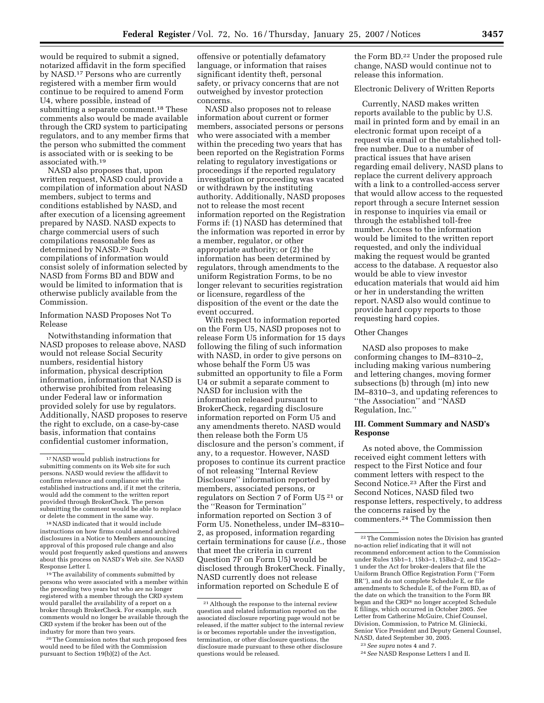would be required to submit a signed, notarized affidavit in the form specified by NASD.17 Persons who are currently registered with a member firm would continue to be required to amend Form U4, where possible, instead of submitting a separate comment.<sup>18</sup> These comments also would be made available through the CRD system to participating regulators, and to any member firms that the person who submitted the comment is associated with or is seeking to be associated with.19

NASD also proposes that, upon written request, NASD could provide a compilation of information about NASD members, subject to terms and conditions established by NASD, and after execution of a licensing agreement prepared by NASD. NASD expects to charge commercial users of such compilations reasonable fees as determined by NASD.20 Such compilations of information would consist solely of information selected by NASD from Forms BD and BDW and would be limited to information that is otherwise publicly available from the Commission.

Information NASD Proposes Not To Release

Notwithstanding information that NASD proposes to release above, NASD would not release Social Security numbers, residential history information, physical description information, information that NASD is otherwise prohibited from releasing under Federal law or information provided solely for use by regulators. Additionally, NASD proposes to reserve the right to exclude, on a case-by-case basis, information that contains confidential customer information,

18NASD indicated that it would include instructions on how firms could amend archived disclosures in a Notice to Members announcing approval of this proposed rule change and also would post frequently asked questions and answers about this process on NASD's Web site. *See* NASD Response Letter I.

<sup>19</sup>The availability of comments submitted by persons who were associated with a member within the preceding two years but who are no longer registered with a member through the CRD system would parallel the availability of a report on a broker through BrokerCheck. For example, such comments would no longer be available through the CRD system if the broker has been out of the industry for more than two years.

<sup>20</sup>The Commission notes that such proposed fees would need to be filed with the Commission pursuant to Section 19(b)(2) of the Act.

offensive or potentially defamatory language, or information that raises significant identity theft, personal safety, or privacy concerns that are not outweighed by investor protection concerns.

NASD also proposes not to release information about current or former members, associated persons or persons who were associated with a member within the preceding two years that has been reported on the Registration Forms relating to regulatory investigations or proceedings if the reported regulatory investigation or proceeding was vacated or withdrawn by the instituting authority. Additionally, NASD proposes not to release the most recent information reported on the Registration Forms if: (1) NASD has determined that the information was reported in error by a member, regulator, or other appropriate authority; or (2) the information has been determined by regulators, through amendments to the uniform Registration Forms, to be no longer relevant to securities registration or licensure, regardless of the disposition of the event or the date the event occurred.

With respect to information reported on the Form U5, NASD proposes not to release Form U5 information for 15 days following the filing of such information with NASD, in order to give persons on whose behalf the Form U5 was submitted an opportunity to file a Form U4 or submit a separate comment to NASD for inclusion with the information released pursuant to BrokerCheck, regarding disclosure information reported on Form U5 and any amendments thereto. NASD would then release both the Form U5 disclosure and the person's comment, if any, to a requestor. However, NASD proposes to continue its current practice of not releasing ''Internal Review Disclosure'' information reported by members, associated persons, or regulators on Section 7 of Form U5 21 or the ''Reason for Termination'' information reported on Section 3 of Form U5. Nonetheless, under IM–8310– 2, as proposed, information regarding certain terminations for cause (*i.e.*, those that meet the criteria in current Question 7F on Form U5) would be disclosed through BrokerCheck. Finally, NASD currently does not release information reported on Schedule E of

the Form BD.22 Under the proposed rule change, NASD would continue not to release this information.

Electronic Delivery of Written Reports

Currently, NASD makes written reports available to the public by U.S. mail in printed form and by email in an electronic format upon receipt of a request via email or the established tollfree number. Due to a number of practical issues that have arisen regarding email delivery, NASD plans to replace the current delivery approach with a link to a controlled-access server that would allow access to the requested report through a secure Internet session in response to inquiries via email or through the established toll-free number. Access to the information would be limited to the written report requested, and only the individual making the request would be granted access to the database. A requestor also would be able to view investor education materials that would aid him or her in understanding the written report. NASD also would continue to provide hard copy reports to those requesting hard copies.

### Other Changes

NASD also proposes to make conforming changes to IM–8310–2, including making various numbering and lettering changes, moving former subsections (b) through (m) into new IM–8310–3, and updating references to ''the Association'' and ''NASD Regulation, Inc.''

### **III. Comment Summary and NASD's Response**

As noted above, the Commission received eight comment letters with respect to the First Notice and four comment letters with respect to the Second Notice.23 After the First and Second Notices, NASD filed two response letters, respectively, to address the concerns raised by the commenters.24 The Commission then

<sup>17</sup>NASD would publish instructions for submitting comments on its Web site for such persons. NASD would review the affidavit to confirm relevance and compliance with the established instructions and, if it met the criteria, would add the comment to the written report provided through BrokerCheck. The person submitting the comment would be able to replace or delete the comment in the same way.

<sup>21</sup>Although the response to the internal review question and related information reported on the associated disclosure reporting page would not be released, if the matter subject to the internal review is or becomes reportable under the investigation, termination, or other disclosure questions, the disclosure made pursuant to these other disclosure questions would be released.

<sup>22</sup>The Commission notes the Division has granted no-action relief indicating that it will not recommend enforcement action to the Commission under Rules 15b1–1, 15b3–1, 15Ba2–2, and 15Ca2– 1 under the Act for broker-dealers that file the Uniform Branch Office Registration Form (''Form BR''), and do not complete Schedule E, or file amendments to Schedule E, of the Form BD, as of the date on which the transition to the Form BR began and the CRD® no longer accepted Schedule E filings, which occurred in October 2005. *See*  Letter from Catherine McGuire, Chief Counsel, Division, Commission, to Patrice M. Gliniecki, Senior Vice President and Deputy General Counsel, NASD, dated September 30, 2005.

<sup>23</sup>*See supra* notes 4 and 7.

<sup>24</sup>*See* NASD Response Letters I and II.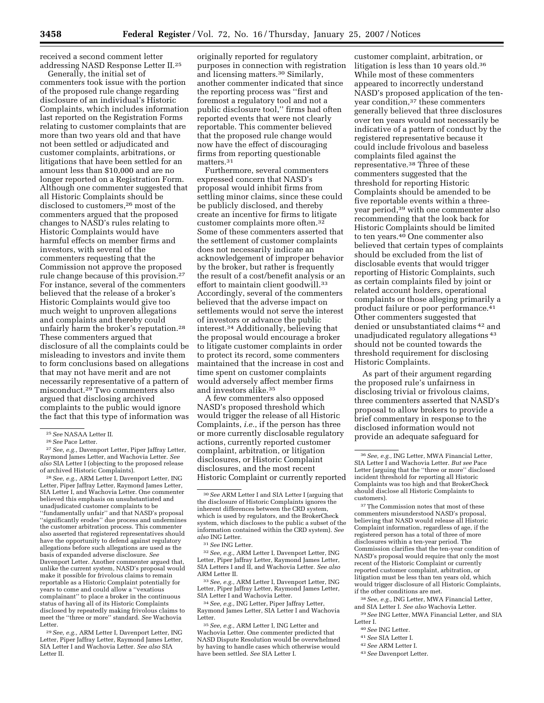received a second comment letter addressing NASD Response Letter II.25

Generally, the initial set of commenters took issue with the portion of the proposed rule change regarding disclosure of an individual's Historic Complaints, which includes information last reported on the Registration Forms relating to customer complaints that are more than two years old and that have not been settled or adjudicated and customer complaints, arbitrations, or litigations that have been settled for an amount less than \$10,000 and are no longer reported on a Registration Form. Although one commenter suggested that all Historic Complaints should be disclosed to customers,26 most of the commenters argued that the proposed changes to NASD's rules relating to Historic Complaints would have harmful effects on member firms and investors, with several of the commenters requesting that the Commission not approve the proposed rule change because of this provision.27 For instance, several of the commenters believed that the release of a broker's Historic Complaints would give too much weight to unproven allegations and complaints and thereby could unfairly harm the broker's reputation.28 These commenters argued that disclosure of all the complaints could be misleading to investors and invite them to form conclusions based on allegations that may not have merit and are not necessarily representative of a pattern of misconduct.29 Two commenters also argued that disclosing archived complaints to the public would ignore the fact that this type of information was

<sup>28</sup> See, e.g., ARM Letter I, Davenport Letter, ING Letter, Piper Jaffray Letter, Raymond James Letter, SIA Letter I, and Wachovia Letter. One commenter believed this emphasis on unsubstantiated and unadjudicated customer complaints to be ''fundamentally unfair'' and that NASD's proposal ''significantly erodes'' due process and undermines the customer arbitration process. This commenter also asserted that registered representatives should have the opportunity to defend against regulatory allegations before such allegations are used as the basis of expanded adverse disclosure. *See*  Davenport Letter. Another commenter argued that, unlike the current system, NASD's proposal would make it possible for frivolous claims to remain reportable as a Historic Complaint potentially for years to come and could allow a ''vexatious complainant'' to place a broker in the continuous status of having all of its Historic Complaints disclosed by repeatedly making frivolous claims to meet the ''three or more'' standard. *See* Wachovia Letter.

29*See, e.g.,* ARM Letter I, Davenport Letter, ING Letter, Piper Jaffray Letter, Raymond James Letter, SIA Letter I and Wachovia Letter. *See also* SIA Letter II.

originally reported for regulatory purposes in connection with registration and licensing matters.30 Similarly, another commenter indicated that since the reporting process was ''first and foremost a regulatory tool and not a public disclosure tool,'' firms had often reported events that were not clearly reportable. This commenter believed that the proposed rule change would now have the effect of discouraging firms from reporting questionable matters.<sup>31</sup>

Furthermore, several commenters expressed concern that NASD's proposal would inhibit firms from settling minor claims, since these could be publicly disclosed, and thereby create an incentive for firms to litigate customer complaints more often.32 Some of these commenters asserted that the settlement of customer complaints does not necessarily indicate an acknowledgement of improper behavior by the broker, but rather is frequently the result of a cost/benefit analysis or an effort to maintain client goodwill.33 Accordingly, several of the commenters believed that the adverse impact on settlements would not serve the interest of investors or advance the public interest.34 Additionally, believing that the proposal would encourage a broker to litigate customer complaints in order to protect its record, some commenters maintained that the increase in cost and time spent on customer complaints would adversely affect member firms and investors alike.35

A few commenters also opposed NASD's proposed threshold which would trigger the release of all Historic Complaints, *i.e.*, if the person has three or more currently disclosable regulatory actions, currently reported customer complaint, arbitration, or litigation disclosures, or Historic Complaint disclosures, and the most recent Historic Complaint or currently reported

32*See, e.g.,* ARM Letter I, Davenport Letter, ING Letter, Piper Jaffray Letter, Raymond James Letter, SIA Letters I and II, and Wachovia Letter. *See also*  ARM Letter II.

33*See, e.g.,* ARM Letter I, Davenport Letter, ING Letter, Piper Jaffray Letter, Raymond James Letter, SIA Letter I and Wachovia Letter.

34*See, e.g.,* ING Letter, Piper Jaffray Letter, Raymond James Letter, SIA Letter I and Wachovia Letter.

35*See, e.g.,* ARM Letter I, ING Letter and Wachovia Letter. One commenter predicted that NASD Dispute Resolution would be overwhelmed by having to handle cases which otherwise would have been settled. *See* SIA Letter I.

customer complaint, arbitration, or litigation is less than 10 years old.36 While most of these commenters appeared to incorrectly understand NASD's proposed application of the tenyear condition,37 these commenters generally believed that three disclosures over ten years would not necessarily be indicative of a pattern of conduct by the registered representative because it could include frivolous and baseless complaints filed against the representative.38 Three of these commenters suggested that the threshold for reporting Historic Complaints should be amended to be five reportable events within a threeyear period,39 with one commenter also recommending that the look back for Historic Complaints should be limited to ten years.40 One commenter also believed that certain types of complaints should be excluded from the list of disclosable events that would trigger reporting of Historic Complaints, such as certain complaints filed by joint or related account holders, operational complaints or those alleging primarily a product failure or poor performance.41 Other commenters suggested that denied or unsubstantiated claims 42 and unadjudicated regulatory allegations 43 should not be counted towards the threshold requirement for disclosing Historic Complaints.

As part of their argument regarding the proposed rule's unfairness in disclosing trivial or frivolous claims, three commenters asserted that NASD's proposal to allow brokers to provide a brief commentary in response to the disclosed information would not provide an adequate safeguard for

<sup>37</sup>The Commission notes that most of these commenters misunderstood NASD's proposal, believing that NASD would release all Historic Complaint information, regardless of age, if the registered person has a total of three of more disclosures within a ten-year period. The Commission clarifies that the ten-year condition of NASD's proposal would require that only the most recent of the Historic Complaint or currently reported customer complaint, arbitration, or litigation must be less than ten years old, which would trigger disclosure of all Historic Complaints, if the other conditions are met.

38*See, e.g.,* ING Letter, MWA Financial Letter, and SIA Letter I. *See also* Wachovia Letter.

39*See* ING Letter, MWA Financial Letter, and SIA Letter I.

- 40*See* ING Letter.
- 41*See* SIA Letter I.
- 42*See* ARM Letter I.

<sup>25</sup>*See* NASAA Letter II. 26*See* Pace Letter. 27*See, e.g.,* Davenport Letter, Piper Jaffray Letter, Raymond James Letter, and Wachovia Letter. *See also* SIA Letter I (objecting to the proposed release

<sup>30</sup>*See* ARM Letter I and SIA Letter I (arguing that the disclosure of Historic Complaints ignores the inherent differences between the CRD system, which is used by regulators, and the BrokerCheck system, which discloses to the public a subset of the information contained within the CRD system). *See also* ING Letter.

<sup>31</sup>*See* ING Letter.

<sup>36</sup>*See, e.g.,* ING Letter, MWA Financial Letter, SIA Letter I and Wachovia Letter. *But see* Pace Letter (arguing that the ''three or more'' disclosed incident threshold for reporting all Historic Complaints was too high and that BrokerCheck should disclose all Historic Complaints to customers).

<sup>43</sup>*See* Davenport Letter.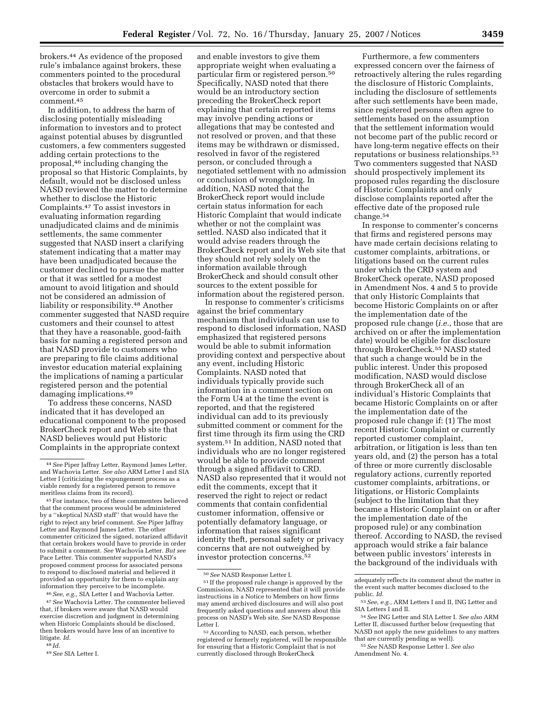brokers.44 As evidence of the proposed rule's imbalance against brokers, these commenters pointed to the procedural obstacles that brokers would have to overcome in order to submit a comment.45

In addition, to address the harm of disclosing potentially misleading information to investors and to protect against potential abuses by disgruntled customers, a few commenters suggested adding certain protections to the proposal,46 including changing the proposal so that Historic Complaints, by default, would not be disclosed unless NASD reviewed the matter to determine whether to disclose the Historic Complaints.47 To assist investors in evaluating information regarding unadjudicated claims and de minimis settlements, the same commenter suggested that NASD insert a clarifying statement indicating that a matter may have been unadjudicated because the customer declined to pursue the matter or that it was settled for a modest amount to avoid litigation and should not be considered an admission of liability or responsibility.48 Another commenter suggested that NASD require customers and their counsel to attest that they have a reasonable, good-faith basis for naming a registered person and that NASD provide to customers who are preparing to file claims additional investor education material explaining the implications of naming a particular registered person and the potential damaging implications.49

To address these concerns, NASD indicated that it has developed an educational component to the proposed BrokerCheck report and Web site that NASD believes would put Historic Complaints in the appropriate context

46*See, e.g.,* SIA Letter I and Wachovia Letter.

47*See* Wachovia Letter. The commenter believed that, if brokers were aware that NASD would exercise discretion and judgment in determining when Historic Complaints should be disclosed, then brokers would have less of an incentive to litigate. *Id*.

and enable investors to give them appropriate weight when evaluating a particular firm or registered person.50 Specifically, NASD noted that there would be an introductory section preceding the BrokerCheck report explaining that certain reported items may involve pending actions or allegations that may be contested and not resolved or proven, and that these items may be withdrawn or dismissed, resolved in favor of the registered person, or concluded through a negotiated settlement with no admission or conclusion of wrongdoing. In addition, NASD noted that the BrokerCheck report would include certain status information for each Historic Complaint that would indicate whether or not the complaint was settled. NASD also indicated that it would advise readers through the BrokerCheck report and its Web site that they should not rely solely on the information available through BrokerCheck and should consult other sources to the extent possible for information about the registered person.

In response to commenter's criticisms against the brief commentary mechanism that individuals can use to respond to disclosed information, NASD emphasized that registered persons would be able to submit information providing context and perspective about any event, including Historic Complaints. NASD noted that individuals typically provide such information in a comment section on the Form U4 at the time the event is reported, and that the registered individual can add to its previously submitted comment or comment for the first time through its firm using the CRD system.51 In addition, NASD noted that individuals who are no longer registered would be able to provide comment through a signed affidavit to CRD. NASD also represented that it would not edit the comments, except that it reserved the right to reject or redact comments that contain confidential customer information, offensive or potentially defamatory language, or information that raises significant identity theft, personal safety or privacy concerns that are not outweighed by investor protection concerns.52

Furthermore, a few commenters expressed concern over the fairness of retroactively altering the rules regarding the disclosure of Historic Complaints, including the disclosure of settlements after such settlements have been made, since registered persons often agree to settlements based on the assumption that the settlement information would not become part of the public record or have long-term negative effects on their reputations or business relationships.53 Two commenters suggested that NASD should prospectively implement its proposed rules regarding the disclosure of Historic Complaints and only disclose complaints reported after the effective date of the proposed rule change.54

In response to commenter's concerns that firms and registered persons may have made certain decisions relating to customer complaints, arbitrations, or litigations based on the current rules under which the CRD system and BrokerCheck operate, NASD proposed in Amendment Nos. 4 and 5 to provide that only Historic Complaints that become Historic Complaints on or after the implementation date of the proposed rule change (*i.e.*, those that are archived on or after the implementation date) would be eligible for disclosure through BrokerCheck.55 NASD stated that such a change would be in the public interest. Under this proposed modification, NASD would disclose through BrokerCheck all of an individual's Historic Complaints that became Historic Complaints on or after the implementation date of the proposed rule change if: (1) The most recent Historic Complaint or currently reported customer complaint, arbitration, or litigation is less than ten years old, and (2) the person has a total of three or more currently disclosable regulatory actions, currently reported customer complaints, arbitrations, or litigations, or Historic Complaints (subject to the limitation that they became a Historic Complaint on or after the implementation date of the proposed rule) or any combination thereof. According to NASD, the revised approach would strike a fair balance between public investors' interests in the background of the individuals with

<sup>44</sup>*See* Piper Jaffray Letter, Raymond James Letter, and Wachovia Letter. *See also* ARM Letter I and SIA Letter I (criticizing the expungement process as a viable remedy for a registered person to remove meritless claims from its record).

<sup>45</sup>For instance, two of these commenters believed that the comment process would be administered by a ''skeptical NASD staff'' that would have the right to reject any brief comment. *See* Piper Jaffray Letter and Raymond James Letter. The other commenter criticized the signed, notarized affidavit that certain brokers would have to provide in order to submit a comment. *See* Wachovia Letter. *But see*  Pace Letter. This commenter supported NASD's proposed comment process for associated persons to respond to disclosed material and believed it provided an opportunity for them to explain any information they perceive to be incomplete.

<sup>48</sup> *Id*.

<sup>49</sup>*See* SIA Letter I.

<sup>50</sup>*See* NASD Response Letter I.

<sup>51</sup> If the proposed rule change is approved by the Commission, NASD represented that it will provide instructions in a Notice to Members on how firms may amend archived disclosures and will also post frequently asked questions and answers about this process on NASD's Web site. *See* NASD Response Letter I.

<sup>52</sup>According to NASD, each person, whether registered or formerly registered, will be responsible for ensuring that a Historic Complaint that is not currently disclosed through BrokerCheck

adequately reflects its comment about the matter in the event such matter becomes disclosed to the public. *Id*.

<sup>53</sup>*See, e.g.,* ARM Letters I and II, ING Letter and SIA Letters I and II.

<sup>54</sup>*See* ING Letter and SIA Letter I. *See also* ARM Letter II, discussed further below (requesting that NASD not apply the new guidelines to any matters that are currently pending as well).

<sup>55</sup>*See* NASD Response Letter I. *See also*  Amendment No. 4.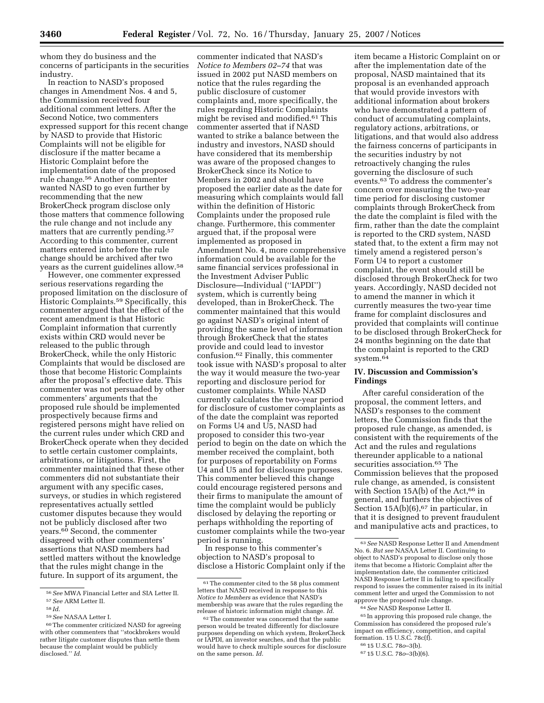whom they do business and the concerns of participants in the securities industry.

In reaction to NASD's proposed changes in Amendment Nos. 4 and 5, the Commission received four additional comment letters. After the Second Notice, two commenters expressed support for this recent change by NASD to provide that Historic Complaints will not be eligible for disclosure if the matter became a Historic Complaint before the implementation date of the proposed rule change.56 Another commenter wanted NASD to go even further by recommending that the new BrokerCheck program disclose only those matters that commence following the rule change and not include any matters that are currently pending.<sup>57</sup> According to this commenter, current matters entered into before the rule change should be archived after two years as the current guidelines allow.58

However, one commenter expressed serious reservations regarding the proposed limitation on the disclosure of Historic Complaints.59 Specifically, this commenter argued that the effect of the recent amendment is that Historic Complaint information that currently exists within CRD would never be released to the public through BrokerCheck, while the only Historic Complaints that would be disclosed are those that become Historic Complaints after the proposal's effective date. This commenter was not persuaded by other commenters' arguments that the proposed rule should be implemented prospectively because firms and registered persons might have relied on the current rules under which CRD and BrokerCheck operate when they decided to settle certain customer complaints, arbitrations, or litigations. First, the commenter maintained that these other commenters did not substantiate their argument with any specific cases, surveys, or studies in which registered representatives actually settled customer disputes because they would not be publicly disclosed after two years.60 Second, the commenter disagreed with other commenters' assertions that NASD members had settled matters without the knowledge that the rules might change in the future. In support of its argument, the

commenter indicated that NASD's *Notice to Members 02–74* that was issued in 2002 put NASD members on notice that the rules regarding the public disclosure of customer complaints and, more specifically, the rules regarding Historic Complaints might be revised and modified.61 This commenter asserted that if NASD wanted to strike a balance between the industry and investors, NASD should have considered that its membership was aware of the proposed changes to BrokerCheck since its Notice to Members in 2002 and should have proposed the earlier date as the date for measuring which complaints would fall within the definition of Historic Complaints under the proposed rule change. Furthermore, this commenter argued that, if the proposal were implemented as proposed in Amendment No. 4, more comprehensive information could be available for the same financial services professional in the Investment Adviser Public Disclosure—Individual (''IAPDI'') system, which is currently being developed, than in BrokerCheck. The commenter maintained that this would go against NASD's original intent of providing the same level of information through BrokerCheck that the states provide and could lead to investor confusion.62 Finally, this commenter took issue with NASD's proposal to alter the way it would measure the two-year reporting and disclosure period for customer complaints. While NASD currently calculates the two-year period for disclosure of customer complaints as of the date the complaint was reported on Forms U4 and U5, NASD had proposed to consider this two-year period to begin on the date on which the member received the complaint, both for purposes of reportability on Forms U4 and U5 and for disclosure purposes. This commenter believed this change could encourage registered persons and their firms to manipulate the amount of time the complaint would be publicly disclosed by delaying the reporting or perhaps withholding the reporting of customer complaints while the two-year period is running.

In response to this commenter's objection to NASD's proposal to disclose a Historic Complaint only if the

item became a Historic Complaint on or after the implementation date of the proposal, NASD maintained that its proposal is an evenhanded approach that would provide investors with additional information about brokers who have demonstrated a pattern of conduct of accumulating complaints, regulatory actions, arbitrations, or litigations, and that would also address the fairness concerns of participants in the securities industry by not retroactively changing the rules governing the disclosure of such events.63 To address the commenter's concern over measuring the two-year time period for disclosing customer complaints through BrokerCheck from the date the complaint is filed with the firm, rather than the date the complaint is reported to the CRD system, NASD stated that, to the extent a firm may not timely amend a registered person's Form U4 to report a customer complaint, the event should still be disclosed through BrokerCheck for two years. Accordingly, NASD decided not to amend the manner in which it currently measures the two-year time frame for complaint disclosures and provided that complaints will continue to be disclosed through BrokerCheck for 24 months beginning on the date that the complaint is reported to the CRD system.<sup>64</sup>

# **IV. Discussion and Commission's Findings**

After careful consideration of the proposal, the comment letters, and NASD's responses to the comment letters, the Commission finds that the proposed rule change, as amended, is consistent with the requirements of the Act and the rules and regulations thereunder applicable to a national securities association.<sup>65</sup> The Commission believes that the proposed rule change, as amended, is consistent with Section 15A(b) of the Act,<sup>66</sup> in general, and furthers the objectives of Section  $15A(b)(6)$ ,  $67$  in particular, in that it is designed to prevent fraudulent and manipulative acts and practices, to

65 In approving this proposed rule change, the Commission has considered the proposed rule's impact on efficiency, competition, and capital formation. 15 U.S.C. 78c(f).

<sup>56</sup>*See* MWA Financial Letter and SIA Letter II. 57*See* ARM Letter II.

<sup>58</sup> *Id*.

<sup>59</sup>*See* NASAA Letter I.

<sup>60</sup>The commenter criticized NASD for agreeing with other commenters that ''stockbrokers would rather litigate customer disputes than settle them because the complaint would be publicly disclosed.'' *Id*.

<sup>61</sup>The commenter cited to the 58 plus comment letters that NASD received in response to this *Notice to Members* as evidence that NASD's membership was aware that the rules regarding the<br>release of historic information might change. Id.

<sup>&</sup>lt;sup>62</sup> The commenter was concerned that the same person would be treated differently for disclosure purposes depending on which system, BrokerCheck or IAPDI, an investor searches, and that the public would have to check multiple sources for disclosure on the same person. *Id*.

<sup>63</sup>*See* NASD Response Letter II and Amendment No. 6. *But see* NASAA Letter II. Continuing to object to NASD's proposal to disclose only those items that become a Historic Complaint after the implementation date, the commenter criticized NASD Response Letter II in failing to specifically respond to issues the commenter raised in its initial comment letter and urged the Commission to not approve the proposed rule change.

<sup>64</sup>*See* NASD Response Letter II.

<sup>66</sup> 15 U.S.C. 78*o*–3(b).

<sup>67</sup> 15 U.S.C. 78*o*–3(b)(6).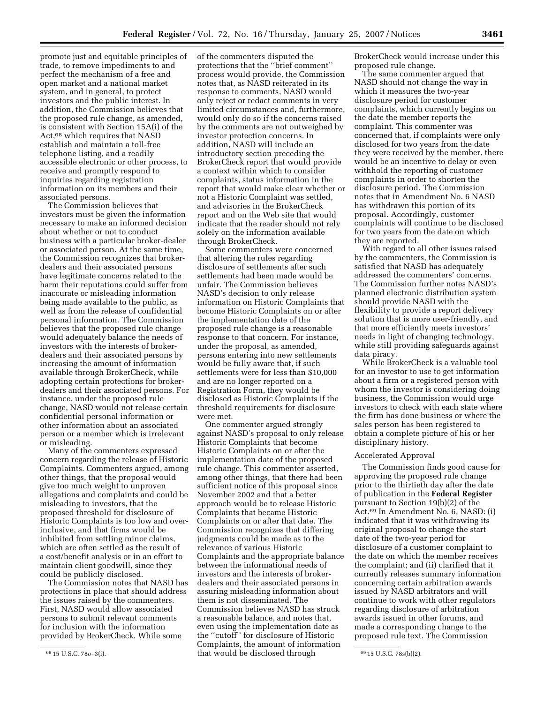promote just and equitable principles of trade, to remove impediments to and perfect the mechanism of a free and open market and a national market system, and in general, to protect investors and the public interest. In addition, the Commission believes that the proposed rule change, as amended, is consistent with Section 15A(i) of the Act,68 which requires that NASD establish and maintain a toll-free telephone listing, and a readily accessible electronic or other process, to receive and promptly respond to inquiries regarding registration information on its members and their associated persons.

The Commission believes that investors must be given the information necessary to make an informed decision about whether or not to conduct business with a particular broker-dealer or associated person. At the same time, the Commission recognizes that brokerdealers and their associated persons have legitimate concerns related to the harm their reputations could suffer from inaccurate or misleading information being made available to the public, as well as from the release of confidential personal information. The Commission believes that the proposed rule change would adequately balance the needs of investors with the interests of brokerdealers and their associated persons by increasing the amount of information available through BrokerCheck, while adopting certain protections for brokerdealers and their associated persons. For instance, under the proposed rule change, NASD would not release certain confidential personal information or other information about an associated person or a member which is irrelevant or misleading.

Many of the commenters expressed concern regarding the release of Historic Complaints. Commenters argued, among other things, that the proposal would give too much weight to unproven allegations and complaints and could be misleading to investors, that the proposed threshold for disclosure of Historic Complaints is too low and overinclusive, and that firms would be inhibited from settling minor claims, which are often settled as the result of a cost/benefit analysis or in an effort to maintain client goodwill, since they could be publicly disclosed.

The Commission notes that NASD has protections in place that should address the issues raised by the commenters. First, NASD would allow associated persons to submit relevant comments for inclusion with the information provided by BrokerCheck. While some

of the commenters disputed the protections that the ''brief comment'' process would provide, the Commission notes that, as NASD reiterated in its response to comments, NASD would only reject or redact comments in very limited circumstances and, furthermore, would only do so if the concerns raised by the comments are not outweighed by investor protection concerns. In addition, NASD will include an introductory section preceding the BrokerCheck report that would provide a context within which to consider complaints, status information in the report that would make clear whether or not a Historic Complaint was settled, and advisories in the BrokerCheck report and on the Web site that would indicate that the reader should not rely solely on the information available through BrokerCheck.

Some commenters were concerned that altering the rules regarding disclosure of settlements after such settlements had been made would be unfair. The Commission believes NASD's decision to only release information on Historic Complaints that become Historic Complaints on or after the implementation date of the proposed rule change is a reasonable response to that concern. For instance, under the proposal, as amended, persons entering into new settlements would be fully aware that, if such settlements were for less than \$10,000 and are no longer reported on a Registration Form, they would be disclosed as Historic Complaints if the threshold requirements for disclosure were met.

<sup>68</sup> 15 U.S.C. 78*o*–3(i). That would be disclosed through <sup>69</sup> 15 U.S.C. 78s(b)(2). One commenter argued strongly against NASD's proposal to only release Historic Complaints that become Historic Complaints on or after the implementation date of the proposed rule change. This commenter asserted, among other things, that there had been sufficient notice of this proposal since November 2002 and that a better approach would be to release Historic Complaints that became Historic Complaints on or after that date. The Commission recognizes that differing judgments could be made as to the relevance of various Historic Complaints and the appropriate balance between the informational needs of investors and the interests of brokerdealers and their associated persons in assuring misleading information about them is not disseminated. The Commission believes NASD has struck a reasonable balance, and notes that, even using the implementation date as the ''cutoff'' for disclosure of Historic Complaints, the amount of information

BrokerCheck would increase under this proposed rule change.

The same commenter argued that NASD should not change the way in which it measures the two-year disclosure period for customer complaints, which currently begins on the date the member reports the complaint. This commenter was concerned that, if complaints were only disclosed for two years from the date they were received by the member, there would be an incentive to delay or even withhold the reporting of customer complaints in order to shorten the disclosure period. The Commission notes that in Amendment No. 6 NASD has withdrawn this portion of its proposal. Accordingly, customer complaints will continue to be disclosed for two years from the date on which they are reported.

With regard to all other issues raised by the commenters, the Commission is satisfied that NASD has adequately addressed the commenters' concerns. The Commission further notes NASD's planned electronic distribution system should provide NASD with the flexibility to provide a report delivery solution that is more user-friendly, and that more efficiently meets investors' needs in light of changing technology, while still providing safeguards against data piracy.

While BrokerCheck is a valuable tool for an investor to use to get information about a firm or a registered person with whom the investor is considering doing business, the Commission would urge investors to check with each state where the firm has done business or where the sales person has been registered to obtain a complete picture of his or her disciplinary history.

#### Accelerated Approval

The Commission finds good cause for approving the proposed rule change prior to the thirtieth day after the date of publication in the **Federal Register**  pursuant to Section 19(b)(2) of the Act.69 In Amendment No. 6, NASD: (i) indicated that it was withdrawing its original proposal to change the start date of the two-year period for disclosure of a customer complaint to the date on which the member receives the complaint; and (ii) clarified that it currently releases summary information concerning certain arbitration awards issued by NASD arbitrators and will continue to work with other regulators regarding disclosure of arbitration awards issued in other forums, and made a corresponding change to the proposed rule text. The Commission